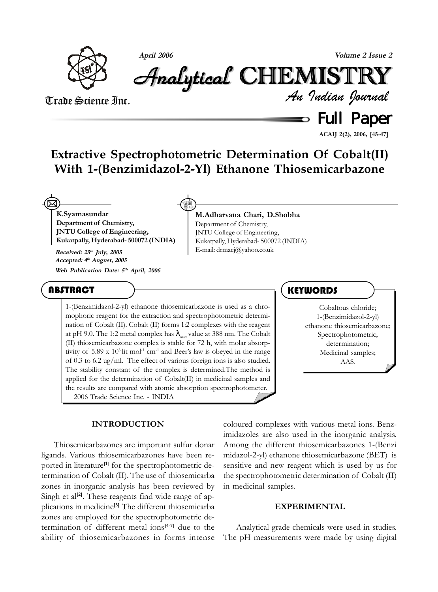

**April 2006 Volume 2 Issue 2**

# Analytical Analytical Analytical Analytical Analytical Analytical CHEMISTR CHEMISTR HEMISTR HEMISTRYY

# Trade Science Inc.

 $\equiv$  Full Paper *An Indian Journal*

**ACAIJ 2(2), 2006, [45-47]**

# **Extractive Spectrophotometric Determination Of Cobalt(II) With 1-(Benzimidazol-2-Yl) Ethanone Thiosemicarbazone**

**K.Syamasundar Department of Chemistry, JNTU College of Engineering, Kukatpally, Hyderabad- 500072 (INDIA)** 図

**Accepted: 4th August, 2005 Web Publication Date: 5th April, 2006**

#### **M.Adharvana Chari, D.Shobha** Department of Chemistry, JNTU College of Engineering, Kukatpally, Hyderabad- 500072 (INDIA) **Received:**  $25<sup>th</sup>$  **July,** 2005 **Received:**  $25<sup>th</sup>$  **July,** 2005

## **ABSTRACT**

1-(Benzimidazol-2-yl) ethanone thiosemicarbazone is used as a chromophoric reagent for the extraction and spectrophotometric determination of Cobalt (II). Cobalt (II) forms 1:2 complexes with the reagent at pH 9.0. The 1:2 metal complex has  $\lambda_{\rm max}$  value at 388 nm. The Cobalt (II) thiosemicarbazone complex is stable for 72 h, with molar absorptivity of  $5.89 \times 10^3$  lit mol<sup>-1</sup> cm<sup>-1</sup> and Beer's law is obeyed in the range of 0.3 to 6.2 ug/ml. The effect of various foreign ions is also studied. The stability constant of the complex is determined.The method is applied for the determination of Cobalt(II) in medicinal samples and the results are compared with atomic absorption spectrophotometer. 2006 Trade Science Inc. - INDIA

#### **INTRODUCTION**

Thiosemicarbazones are important sulfur donar ligands. Various thiosemicarbazones have been reported in literature**[1]** for the spectrophotometric determination of Cobalt (II). The use of thiosemicarba zones in inorganic analysis has been reviewed by Singh et al<sup>[2]</sup>. These reagents find wide range of applications in medicine**[3]** The different thiosemicarba zones are employed for the spectrophotometric determination of different metal ions**[4-7]** due to the ability of thiosemicarbazones in forms intense

### **KEYWORDS**

Cobaltous chloride; 1-(Benzimidazol-2-yl) ethanone thiosemicarbazone; Spectrophotometric; determination; Medicinal samples; AAS.

coloured complexes with various metal ions. Benzimidazoles are also used in the inorganic analysis. Among the different thiosemicarbazones 1-(Benzi midazol-2-yl) ethanone thiosemicarbazone (BET) is sensitive and new reagent which is used by us for the spectrophotometric determination of Cobalt (II) in medicinal samples.

#### **EXPERIMENTAL**

Analytical grade chemicals were used in studies. The pH measurements were made by using digital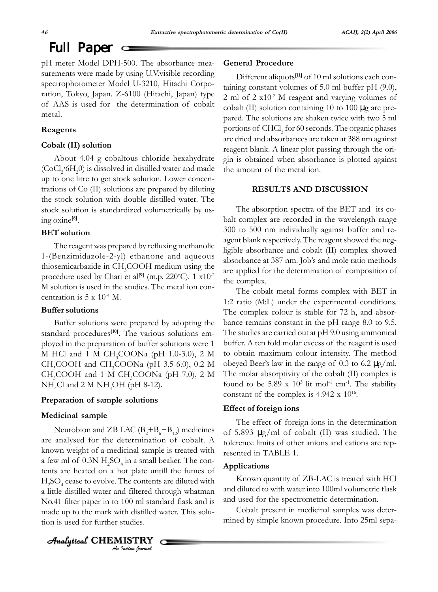pH meter Model DPH-500. The absorbance measurements were made by using U.V.visible recording spectrophotometer Model U-3210, Hitachi Corporation, Tokyo, Japan. Z-6100 (Hitachi, Japan) type of AAS is used for the determination of cobalt metal.

#### **Reagents**

#### **Cobalt (II) solution**

About 4.04 g cobaltous chloride hexahydrate  $(CoCl<sub>2</sub>·6H<sub>2</sub>0)$  is dissolved in distilled water and made up to one litre to get stock solution. Lower concentrations of Co (II) solutions are prepared by diluting the stock solution with double distilled water. The stock solution is standardized volumetrically by using oxine**[8]**.

#### **BET solution**

The reagent was prepared by refluxing methanolic 1-(Benzimidazole-2-yl) ethanone and aqueous thiosemicarbazide in CH<sub>3</sub>COOH medium using the procedure used by Chari et al<sup>[9]</sup> (m.p. 220°C). 1 x10<sup>-2</sup> M solution is used in the studies. The metal ion concentration is 5 x 10-4 M.

#### **Buffer solutions**

Buffer solutions were prepared by adopting the standard procedures**[10]**. The various solutions employed in the preparation of buffer solutions were 1 M HCl and 1 M  $CH_3COONa$  (pH 1.0-3.0), 2 M  $CH_3COOH$  and  $CH_3COONa$  (pH 3.5-6.0), 0.2 M  $CH<sub>3</sub>COOH$  and 1 M  $CH<sub>3</sub>COONa$  (pH 7.0), 2 M  $NH<sub>4</sub>Cl$  and 2 M  $NH<sub>4</sub>OH$  (pH 8-12).

#### **Preparation of sample solutions**

#### **Medicinal sample**

Neurobion and ZB LAC  $(B_2 + B_6 + B_{12})$  medicines are analysed for the determination of cobalt. A known weight of a medicinal sample is treated with a few ml of  $0.3N H_2SO_4$  in a small beaker. The contents are heated on a hot plate untill the fumes of  $H_2$ SO<sub>4</sub> cease to evolve. The contents are diluted with a little distilled water and filtered through whatman No.41 filter paper in to 100 ml standard flask and is made up to the mark with distilled water. This solution is used for further studies.

#### **General Procedure**

Different aliquots**[11]** of 10 ml solutions each containing constant volumes of 5.0 ml buffer pH (9.0), 2 ml of  $2 \times 10^{-2}$  M reagent and varying volumes of cobalt (II) solution containing 10 to 100  $\mu$ g are prepared. The solutions are shaken twice with two 5 ml portions of  $\mathrm{CHCl}_3$  for 60 seconds. The organic phases are dried and absorbances are taken at 388 nm against reagent blank. A linear plot passing through the origin is obtained when absorbance is plotted against the amount of the metal ion.

#### **RESULTS AND DISCUSSION**

The absorption spectra of the BET and its cobalt complex are recorded in the wavelength range 300 to 500 nm individually against buffer and reagent blank respectively. The reagent showed the negligible absorbance and cobalt (II) complex showed absorbance at 387 nm. Job's and mole ratio methods are applied for the determination of composition of the complex.

The cobalt metal forms complex with BET in 1:2 ratio (M:L) under the experimental conditions. The complex colour is stable for 72 h, and absorbance remains constant in the pH range 8.0 to 9.5. The studies are carried out at pH 9.0 using ammonical buffer. A ten fold molar excess of the reagent is used to obtain maximum colour intensity. The method obeyed Beer's law in the range of 0.3 to 6.2  $\mu$ g/ml. The molar absorptivity of the cobalt (II) complex is found to be 5.89 x  $10^3$  lit mol<sup>-1</sup> cm<sup>-1</sup>. The stability constant of the complex is  $4.942 \times 10^{16}$ .

#### **Effect of foreign ions**

The effect of foreign ions in the determination of 5.893 µg/ml of cobalt (II) was studied. The tolerence limits of other anions and cations are represented in TABLE 1.

#### **Applications**

Known quantity of ZB-LAC is treated with HCl and diluted to with water into 100ml volumetric flask and used for the spectrometric determination.

Cobalt present in medicinal samples was determined by simple known procedure. Into 25ml sepa-